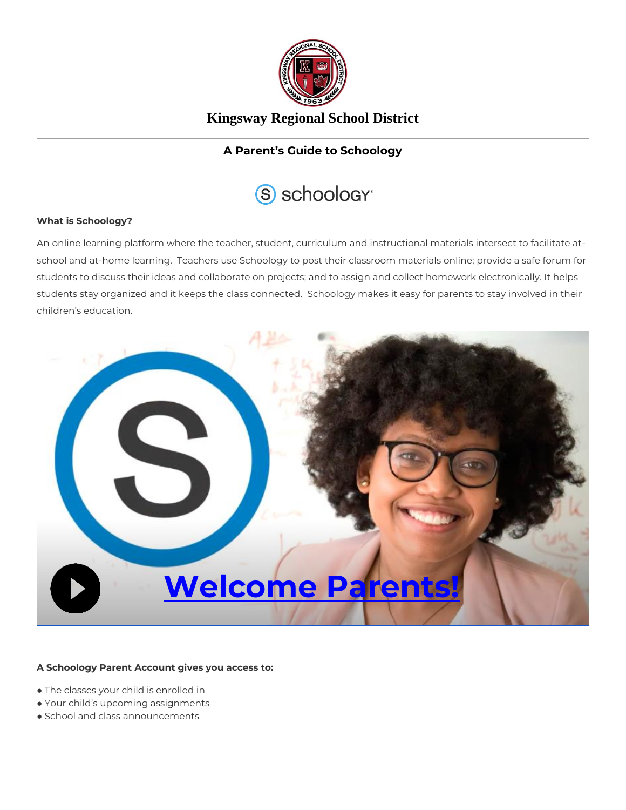

## **Kingsway Regional School District**

### **A Parent's Guide to Schoology**



#### **What is Schoology?**

An online learning platform where the teacher, student, curriculum and instructional materials intersect to facilitate atschool and at-home learning. Teachers use Schoology to post their classroom materials online; provide a safe forum for students to discuss their ideas and collaborate on projects; and to assign and collect homework electronically. It helps students stay organized and it keeps the class connected. Schoology makes it easy for parents to stay involved in their children's education.



#### **A Schoology Parent Account gives you access to:**

- The classes your child is enrolled in
- Your child's upcoming assignments
- School and class announcements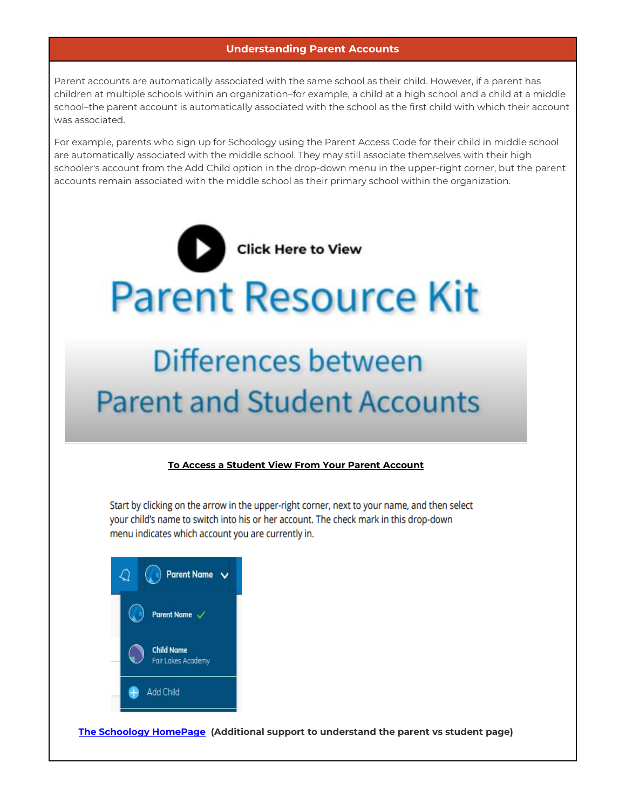#### **Understanding Parent Accounts**

Parent accounts are automatically associated with the same school as their child. However, if a parent has children at multiple schools within an organization–for example, a child at a high school and a child at a middle school–the parent account is automatically associated with the school as the first child with which their account was associated.

For example, parents who sign up for Schoology using the Parent Access Code for their child in middle school are automatically associated with the middle school. They may still associate themselves with their high schooler's account from the Add Child option in the drop-down menu in the upper-right corner, but the parent accounts remain associated with the middle school as their primary school within the organization.



# **Parent and Student Accounts**

#### **To Access a Student View From Your Parent Account**

Start by clicking on the arrow in the upper-right corner, next to your name, and then select your child's name to switch into his or her account. The check mark in this drop-down menu indicates which account you are currently in.



**[The Schoology HomePage](https://support.schoology.com/hc/en-us/articles/201000833-Home-Page-Parents-) (Additional support to understand the parent vs student page)**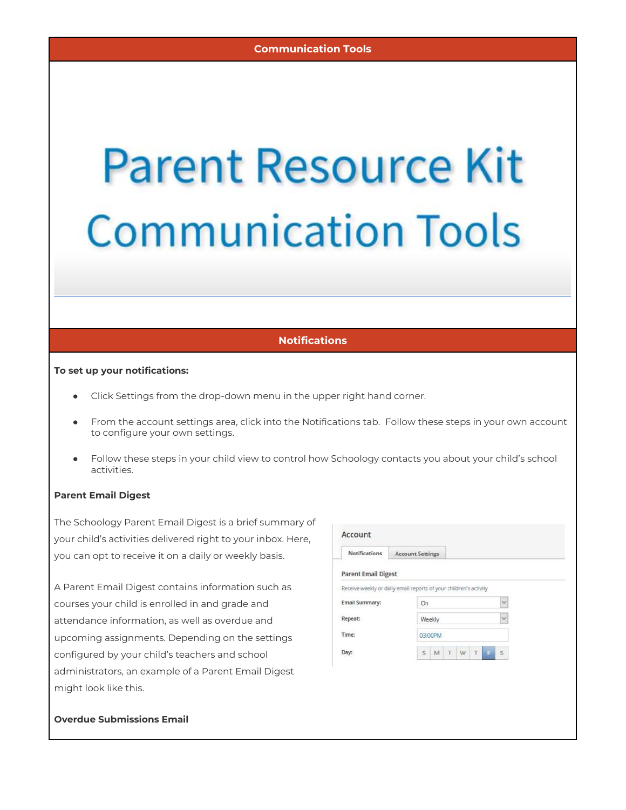# **Parent Resource Kit Communication Tools**

#### **Notifications**

#### **To set up your notifications:**

- Click Settings from the drop-down menu in the upper right hand corner.
- From the account settings area, click into the Notifications tab. Follow these steps in your own account to configure your own settings.
- Follow these steps in your child view to control how Schoology contacts you about your child's school activities.

#### **Parent Email Digest**

The Schoology Parent Email Digest is a brief summary of your child's activities delivered right to your inbox. Here, you can opt to receive it on a daily or weekly basis.

A Parent Email Digest contains information such as courses your child is enrolled in and grade and attendance information, as well as overdue and upcoming assignments. Depending on the settings configured by your child's teachers and school administrators, an example of a Parent Email Digest might look like this.

| <b>Notifications</b>                                              | <b>Account Settings</b> |         |   |   |   |    |              |  |
|-------------------------------------------------------------------|-------------------------|---------|---|---|---|----|--------------|--|
| <b>Parent Email Digest</b>                                        |                         |         |   |   |   |    |              |  |
| Receive weekly or daily email reports of your children's activity |                         |         |   |   |   |    |              |  |
| <b>Email Summary:</b>                                             |                         | On      |   |   |   |    | $\checkmark$ |  |
| Repeat:                                                           |                         | Weekly  |   |   |   |    | $\checkmark$ |  |
| Time:                                                             |                         | 03:00PM |   |   |   |    |              |  |
| Day:                                                              | s                       | M       | T | W | T | F. | $\mathbb S$  |  |

#### **Overdue Submissions Email**